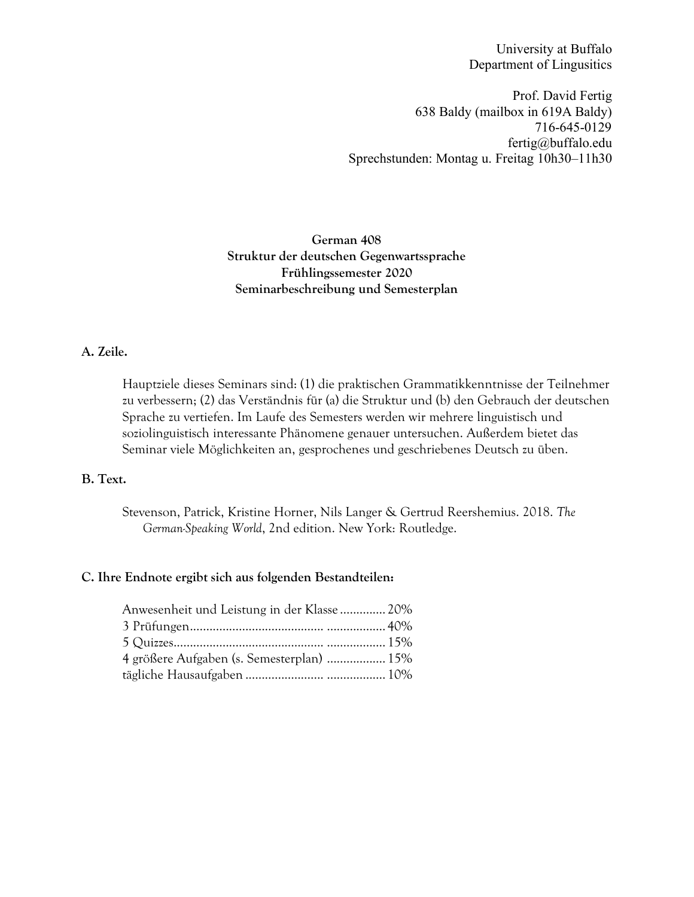University at Buffalo Department of Lingusitics

Prof. David Fertig 638 Baldy (mailbox in 619A Baldy) 716-645-0129 fertig@buffalo.edu Sprechstunden: Montag u. Freitag 10h30–11h30

# **German 408 Struktur der deutschen Gegenwartssprache Frühlingssemester 2020 Seminarbeschreibung und Semesterplan**

# **A. Zeile.**

Hauptziele dieses Seminars sind: (1) die praktischen Grammatikkenntnisse der Teilnehmer zu verbessern; (2) das Verständnis für (a) die Struktur und (b) den Gebrauch der deutschen Sprache zu vertiefen. Im Laufe des Semesters werden wir mehrere linguistisch und soziolinguistisch interessante Phänomene genauer untersuchen. Außerdem bietet das Seminar viele Möglichkeiten an, gesprochenes und geschriebenes Deutsch zu üben.

#### **B. Text.**

Stevenson, Patrick, Kristine Horner, Nils Langer & Gertrud Reershemius. 2018. *The German-Speaking World*, 2nd edition. New York: Routledge.

#### **C. Ihre Endnote ergibt sich aus folgenden Bestandteilen:**

| Anwesenheit und Leistung in der Klasse  20% |
|---------------------------------------------|
|                                             |
|                                             |
|                                             |
| 4 größere Aufgaben (s. Semesterplan)  15%   |
|                                             |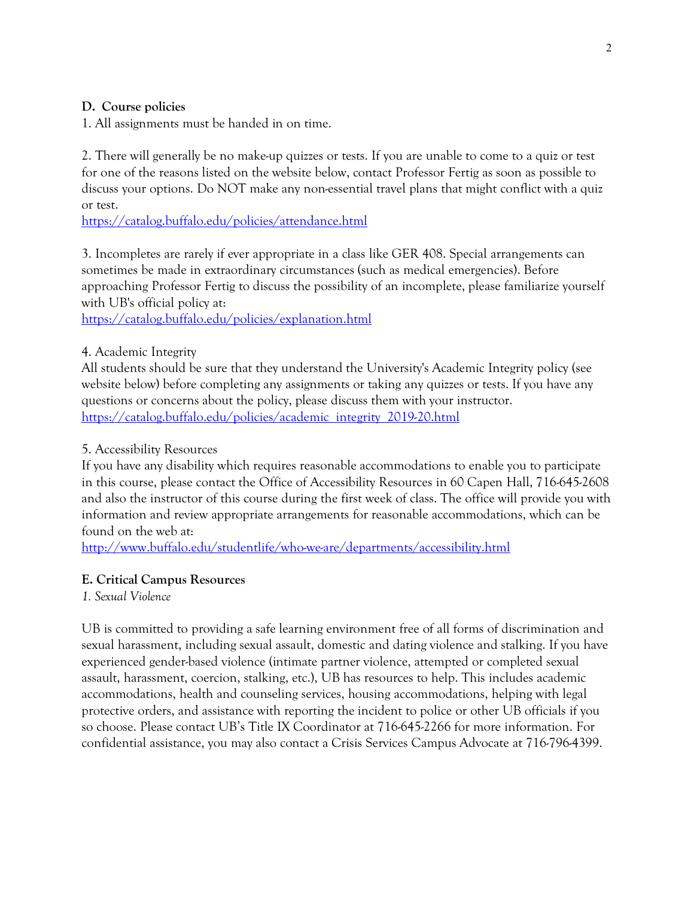## **D. Course policies**

1. All assignments must be handed in on time.

2. There will generally be no make-up quizzes or tests. If you are unable to come to a quiz or test for one of the reasons listed on the website below, contact Professor Fertig as soon as possible to discuss your options. Do NOT make any non-essential travel plans that might conflict with a quiz or test.

https://catalog.buffalo.edu/policies/attendance.html

3. Incompletes are rarely if ever appropriate in a class like GER 408. Special arrangements can sometimes be made in extraordinary circumstances (such as medical emergencies). Before approaching Professor Fertig to discuss the possibility of an incomplete, please familiarize yourself with UB's official policy at:

https://catalog.buffalo.edu/policies/explanation.html

## 4. Academic Integrity

All students should be sure that they understand the University's Academic Integrity policy (see website below) before completing any assignments or taking any quizzes or tests. If you have any questions or concerns about the policy, please discuss them with your instructor. https://catalog.buffalo.edu/policies/academic\_integrity\_2019-20.html

### 5. Accessibility Resources

If you have any disability which requires reasonable accommodations to enable you to participate in this course, please contact the Office of Accessibility Resources in 60 Capen Hall, 716-645-2608 and also the instructor of this course during the first week of class. The office will provide you with information and review appropriate arrangements for reasonable accommodations, which can be found on the web at:

http://www.buffalo.edu/studentlife/who-we-are/departments/accessibility.html

# **E. Critical Campus Resources**

*1. Sexual Violence*

UB is committed to providing a safe learning environment free of all forms of discrimination and sexual harassment, including sexual assault, domestic and dating violence and stalking. If you have experienced gender-based violence (intimate partner violence, attempted or completed sexual assault, harassment, coercion, stalking, etc.), UB has resources to help. This includes academic accommodations, health and counseling services, housing accommodations, helping with legal protective orders, and assistance with reporting the incident to police or other UB officials if you so choose. Please contact UB's Title IX Coordinator at 716-645-2266 for more information. For confidential assistance, you may also contact a Crisis Services Campus Advocate at 716-796-4399.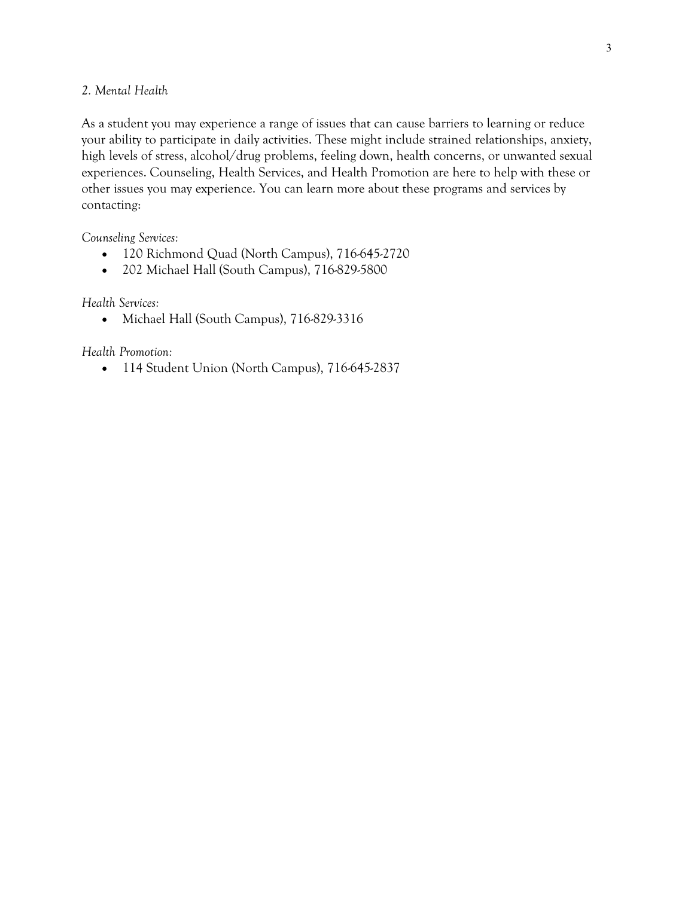#### *2. Mental Health*

As a student you may experience a range of issues that can cause barriers to learning or reduce your ability to participate in daily activities. These might include strained relationships, anxiety, high levels of stress, alcohol/drug problems, feeling down, health concerns, or unwanted sexual experiences. Counseling, Health Services, and Health Promotion are here to help with these or other issues you may experience. You can learn more about these programs and services by contacting:

*Counseling Services:*

- 120 Richmond Quad (North Campus), 716-645-2720
- 202 Michael Hall (South Campus), 716-829-5800

*Health Services:*

• Michael Hall (South Campus), 716-829-3316

*Health Promotion:*

• 114 Student Union (North Campus), 716-645-2837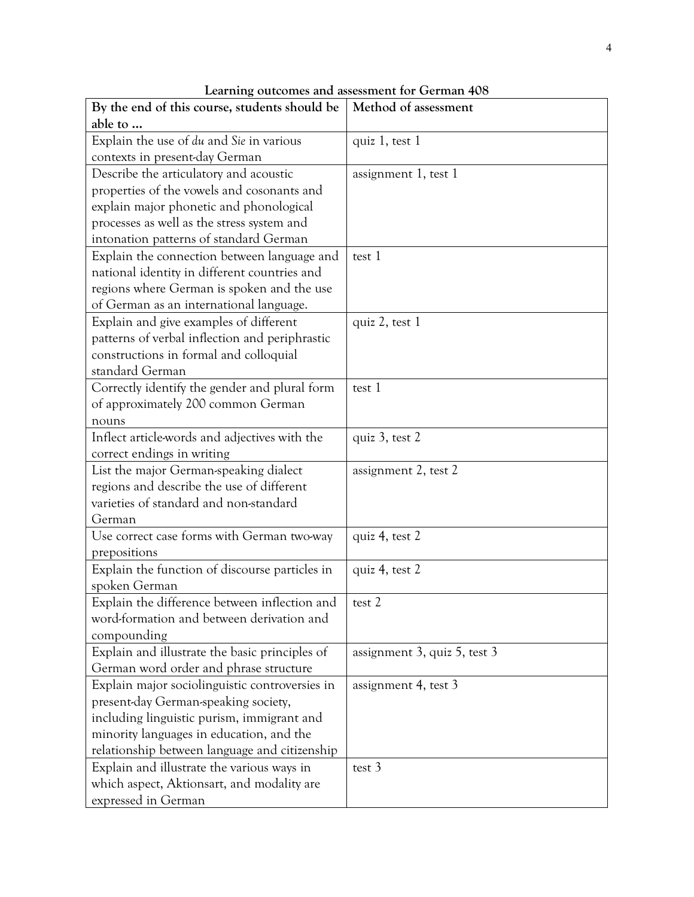| By the end of this course, students should be  | Method of assessment         |
|------------------------------------------------|------------------------------|
| able to                                        |                              |
| Explain the use of du and Sie in various       | quiz 1, test 1               |
| contexts in present-day German                 |                              |
| Describe the articulatory and acoustic         | assignment 1, test 1         |
| properties of the vowels and cosonants and     |                              |
| explain major phonetic and phonological        |                              |
| processes as well as the stress system and     |                              |
| intonation patterns of standard German         |                              |
| Explain the connection between language and    | test 1                       |
| national identity in different countries and   |                              |
| regions where German is spoken and the use     |                              |
| of German as an international language.        |                              |
| Explain and give examples of different         | quiz 2, test 1               |
| patterns of verbal inflection and periphrastic |                              |
| constructions in formal and colloquial         |                              |
| standard German                                |                              |
| Correctly identify the gender and plural form  | test 1                       |
| of approximately 200 common German             |                              |
| nouns                                          |                              |
| Inflect article-words and adjectives with the  | quiz 3, test 2               |
| correct endings in writing                     |                              |
| List the major German-speaking dialect         | assignment 2, test 2         |
| regions and describe the use of different      |                              |
| varieties of standard and non-standard         |                              |
| German                                         |                              |
| Use correct case forms with German two-way     | quiz 4, test 2               |
| prepositions                                   |                              |
| Explain the function of discourse particles in | quiz 4, test 2               |
| spoken German                                  |                              |
| Explain the difference between inflection and  | test 2                       |
| word-formation and between derivation and      |                              |
| compounding                                    |                              |
| Explain and illustrate the basic principles of | assignment 3, quiz 5, test 3 |
| German word order and phrase structure         |                              |
| Explain major sociolinguistic controversies in | assignment 4, test 3         |
| present-day German-speaking society,           |                              |
| including linguistic purism, immigrant and     |                              |
| minority languages in education, and the       |                              |
| relationship between language and citizenship  |                              |
| Explain and illustrate the various ways in     | test 3                       |
| which aspect, Aktionsart, and modality are     |                              |
| expressed in German                            |                              |

**Learning outcomes and assessment for German 408**